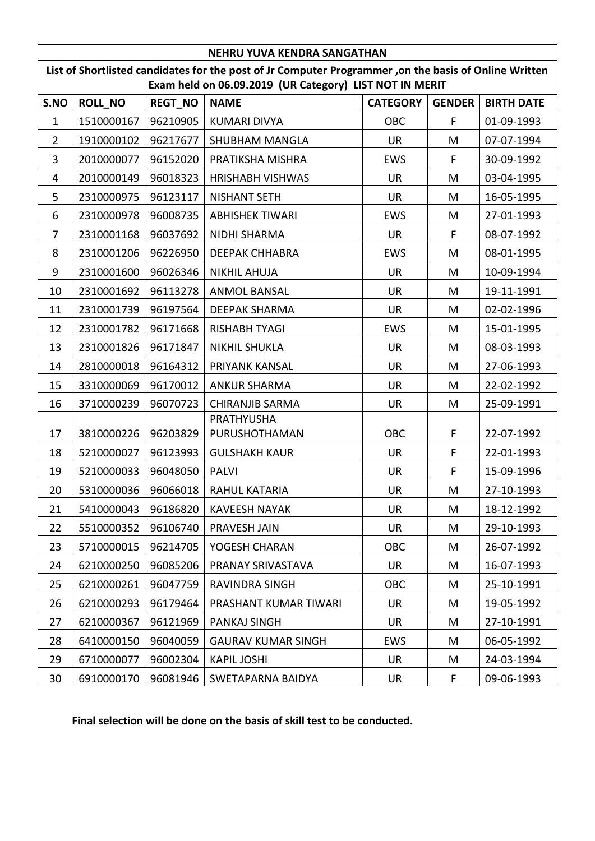| <b>NEHRU YUVA KENDRA SANGATHAN</b>                                                                                                                               |            |          |                           |            |    |            |  |  |
|------------------------------------------------------------------------------------------------------------------------------------------------------------------|------------|----------|---------------------------|------------|----|------------|--|--|
| List of Shortlisted candidates for the post of Jr Computer Programmer, on the basis of Online Written<br>Exam held on 06.09.2019 (UR Category) LIST NOT IN MERIT |            |          |                           |            |    |            |  |  |
| <b>BIRTH DATE</b><br><b>ROLL_NO</b><br><b>REGT_NO</b><br><b>NAME</b><br><b>CATEGORY</b><br><b>GENDER</b><br>S.NO                                                 |            |          |                           |            |    |            |  |  |
| $\mathbf{1}$                                                                                                                                                     | 1510000167 | 96210905 | <b>KUMARI DIVYA</b>       | <b>OBC</b> | F. | 01-09-1993 |  |  |
| $\overline{2}$                                                                                                                                                   | 1910000102 | 96217677 | <b>SHUBHAM MANGLA</b>     | <b>UR</b>  | M  | 07-07-1994 |  |  |
| 3                                                                                                                                                                | 2010000077 | 96152020 | PRATIKSHA MISHRA          | <b>EWS</b> | F. | 30-09-1992 |  |  |
| 4                                                                                                                                                                | 2010000149 | 96018323 | <b>HRISHABH VISHWAS</b>   | <b>UR</b>  | M  | 03-04-1995 |  |  |
| 5                                                                                                                                                                | 2310000975 | 96123117 | <b>NISHANT SETH</b>       | <b>UR</b>  | M  | 16-05-1995 |  |  |
| 6                                                                                                                                                                | 2310000978 | 96008735 | <b>ABHISHEK TIWARI</b>    | <b>EWS</b> | M  | 27-01-1993 |  |  |
| 7                                                                                                                                                                | 2310001168 | 96037692 | <b>NIDHI SHARMA</b>       | <b>UR</b>  | F  | 08-07-1992 |  |  |
| 8                                                                                                                                                                | 2310001206 | 96226950 | <b>DEEPAK CHHABRA</b>     | <b>EWS</b> | M  | 08-01-1995 |  |  |
| 9                                                                                                                                                                | 2310001600 | 96026346 | <b>NIKHIL AHUJA</b>       | <b>UR</b>  | M  | 10-09-1994 |  |  |
| 10                                                                                                                                                               | 2310001692 | 96113278 | <b>ANMOL BANSAL</b>       | <b>UR</b>  | M  | 19-11-1991 |  |  |
| 11                                                                                                                                                               | 2310001739 | 96197564 | <b>DEEPAK SHARMA</b>      | <b>UR</b>  | M  | 02-02-1996 |  |  |
| 12                                                                                                                                                               | 2310001782 | 96171668 | <b>RISHABH TYAGI</b>      | <b>EWS</b> | M  | 15-01-1995 |  |  |
| 13                                                                                                                                                               | 2310001826 | 96171847 | <b>NIKHIL SHUKLA</b>      | <b>UR</b>  | M  | 08-03-1993 |  |  |
| 14                                                                                                                                                               | 2810000018 | 96164312 | PRIYANK KANSAL            | <b>UR</b>  | M  | 27-06-1993 |  |  |
| 15                                                                                                                                                               | 3310000069 | 96170012 | <b>ANKUR SHARMA</b>       | <b>UR</b>  | M  | 22-02-1992 |  |  |
| 16                                                                                                                                                               | 3710000239 | 96070723 | <b>CHIRANJIB SARMA</b>    | <b>UR</b>  | M  | 25-09-1991 |  |  |
|                                                                                                                                                                  |            |          | PRATHYUSHA                |            |    |            |  |  |
| 17                                                                                                                                                               | 3810000226 | 96203829 | PURUSHOTHAMAN             | OBC        | F  | 22-07-1992 |  |  |
| 18                                                                                                                                                               | 5210000027 | 96123993 | <b>GULSHAKH KAUR</b>      | <b>UR</b>  | F  | 22-01-1993 |  |  |
| 19                                                                                                                                                               | 5210000033 | 96048050 | <b>PALVI</b>              | <b>UR</b>  | F  | 15-09-1996 |  |  |
| 20                                                                                                                                                               | 5310000036 | 96066018 | RAHUL KATARIA             | <b>UR</b>  | M  | 27-10-1993 |  |  |
| 21                                                                                                                                                               | 5410000043 | 96186820 | <b>KAVEESH NAYAK</b>      | <b>UR</b>  | M  | 18-12-1992 |  |  |
| 22                                                                                                                                                               | 5510000352 | 96106740 | PRAVESH JAIN              | <b>UR</b>  | M  | 29-10-1993 |  |  |
| 23                                                                                                                                                               | 5710000015 | 96214705 | YOGESH CHARAN             | <b>OBC</b> | M  | 26-07-1992 |  |  |
| 24                                                                                                                                                               | 6210000250 | 96085206 | PRANAY SRIVASTAVA         | <b>UR</b>  | M  | 16-07-1993 |  |  |
| 25                                                                                                                                                               | 6210000261 | 96047759 | <b>RAVINDRA SINGH</b>     | <b>OBC</b> | M  | 25-10-1991 |  |  |
| 26                                                                                                                                                               | 6210000293 | 96179464 | PRASHANT KUMAR TIWARI     | <b>UR</b>  | M  | 19-05-1992 |  |  |
| 27                                                                                                                                                               | 6210000367 | 96121969 | <b>PANKAJ SINGH</b>       | <b>UR</b>  | M  | 27-10-1991 |  |  |
| 28                                                                                                                                                               | 6410000150 | 96040059 | <b>GAURAV KUMAR SINGH</b> | <b>EWS</b> | M  | 06-05-1992 |  |  |
| 29                                                                                                                                                               | 6710000077 | 96002304 | <b>KAPIL JOSHI</b>        | <b>UR</b>  | M  | 24-03-1994 |  |  |
| 30                                                                                                                                                               | 6910000170 | 96081946 | <b>SWETAPARNA BAIDYA</b>  | <b>UR</b>  | F. | 09-06-1993 |  |  |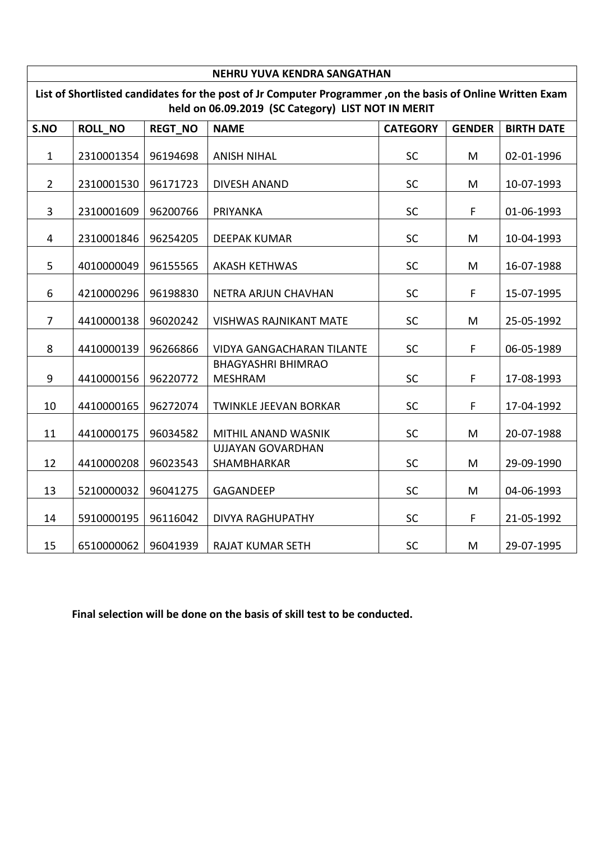| <b>NEHRU YUVA KENDRA SANGATHAN</b>                                                                                                                               |                |                |                                             |                 |               |                   |  |
|------------------------------------------------------------------------------------------------------------------------------------------------------------------|----------------|----------------|---------------------------------------------|-----------------|---------------|-------------------|--|
| List of Shortlisted candidates for the post of Jr Computer Programmer, on the basis of Online Written Exam<br>held on 06.09.2019 (SC Category) LIST NOT IN MERIT |                |                |                                             |                 |               |                   |  |
| S.NO                                                                                                                                                             | <b>ROLL NO</b> | <b>REGT NO</b> | <b>NAME</b>                                 | <b>CATEGORY</b> | <b>GENDER</b> | <b>BIRTH DATE</b> |  |
| $\mathbf{1}$                                                                                                                                                     | 2310001354     | 96194698       | <b>ANISH NIHAL</b>                          | SC              | M             | 02-01-1996        |  |
| $\overline{2}$                                                                                                                                                   | 2310001530     | 96171723       | <b>DIVESH ANAND</b>                         | SC              | M             | 10-07-1993        |  |
| $\overline{3}$                                                                                                                                                   | 2310001609     | 96200766       | PRIYANKA                                    | <b>SC</b>       | F             | 01-06-1993        |  |
| $\overline{4}$                                                                                                                                                   | 2310001846     | 96254205       | <b>DEEPAK KUMAR</b>                         | SC              | M             | 10-04-1993        |  |
| 5                                                                                                                                                                | 4010000049     | 96155565       | <b>AKASH KETHWAS</b>                        | SC              | M             | 16-07-1988        |  |
| 6                                                                                                                                                                | 4210000296     | 96198830       | NETRA ARJUN CHAVHAN                         | SC              | F             | 15-07-1995        |  |
| $\overline{7}$                                                                                                                                                   | 4410000138     | 96020242       | <b>VISHWAS RAJNIKANT MATE</b>               | SC              | M             | 25-05-1992        |  |
| 8                                                                                                                                                                | 4410000139     | 96266866       | <b>VIDYA GANGACHARAN TILANTE</b>            | SC              | F             | 06-05-1989        |  |
| 9                                                                                                                                                                | 4410000156     | 96220772       | <b>BHAGYASHRI BHIMRAO</b><br><b>MESHRAM</b> | SC              | F             | 17-08-1993        |  |
| 10                                                                                                                                                               | 4410000165     | 96272074       | <b>TWINKLE JEEVAN BORKAR</b>                | SC              | F             | 17-04-1992        |  |
| 11                                                                                                                                                               | 4410000175     | 96034582       | MITHIL ANAND WASNIK                         | SC              | M             | 20-07-1988        |  |
| 12                                                                                                                                                               | 4410000208     | 96023543       | <b>UJJAYAN GOVARDHAN</b><br>SHAMBHARKAR     | SC              | M             | 29-09-1990        |  |
| 13                                                                                                                                                               | 5210000032     | 96041275       | <b>GAGANDEEP</b>                            | SC              | M             | 04-06-1993        |  |
| 14                                                                                                                                                               | 5910000195     | 96116042       | <b>DIVYA RAGHUPATHY</b>                     | SC              | F             | 21-05-1992        |  |
| 15                                                                                                                                                               | 6510000062     | 96041939       | RAJAT KUMAR SETH                            | SC              | M             | 29-07-1995        |  |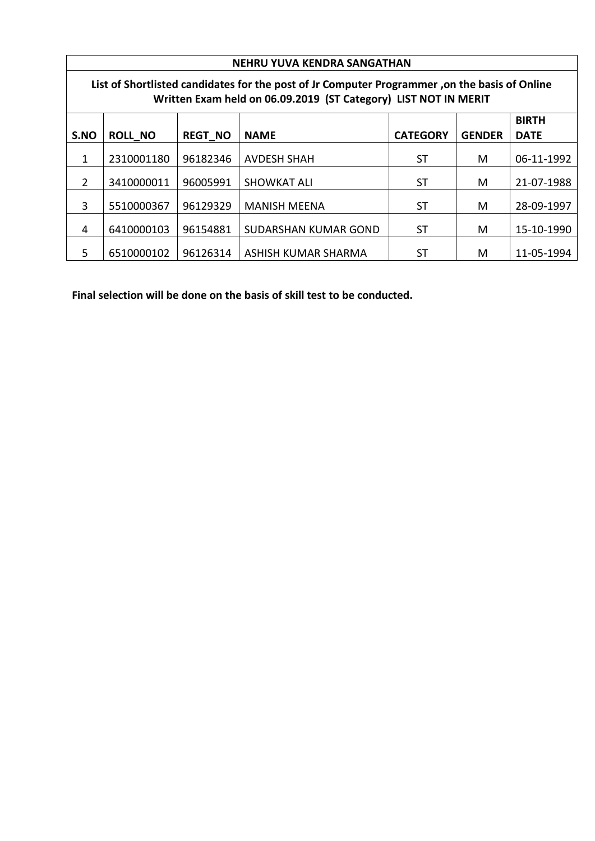|                                                                                                                                                                  | NEHRU YUVA KENDRA SANGATHAN |                |                             |                 |               |             |  |  |
|------------------------------------------------------------------------------------------------------------------------------------------------------------------|-----------------------------|----------------|-----------------------------|-----------------|---------------|-------------|--|--|
| List of Shortlisted candidates for the post of Jr Computer Programmer, on the basis of Online<br>Written Exam held on 06.09.2019 (ST Category) LIST NOT IN MERIT |                             |                |                             |                 |               |             |  |  |
|                                                                                                                                                                  | <b>BIRTH</b>                |                |                             |                 |               |             |  |  |
| S.NO                                                                                                                                                             | <b>ROLL_NO</b>              | <b>REGT NO</b> | <b>NAME</b>                 | <b>CATEGORY</b> | <b>GENDER</b> | <b>DATE</b> |  |  |
| 1                                                                                                                                                                | 2310001180                  | 96182346       | <b>AVDESH SHAH</b>          | ST              | М             | 06-11-1992  |  |  |
| 2                                                                                                                                                                | 3410000011                  | 96005991       | <b>SHOWKAT ALI</b>          | ST              | М             | 21-07-1988  |  |  |
| 3                                                                                                                                                                | 5510000367                  | 96129329       | <b>MANISH MEENA</b>         | <b>ST</b>       | M             | 28-09-1997  |  |  |
| 4                                                                                                                                                                | 6410000103                  | 96154881       | <b>SUDARSHAN KUMAR GOND</b> | ST              | M             | 15-10-1990  |  |  |
| 5                                                                                                                                                                | 6510000102                  | 96126314       | ASHISH KUMAR SHARMA         | <b>ST</b>       | м             | 11-05-1994  |  |  |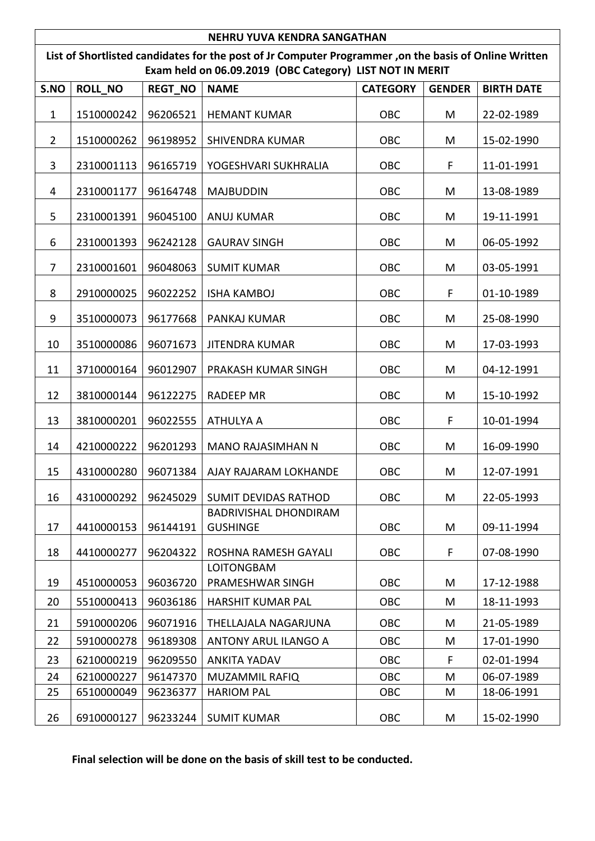| NEHRU YUVA KENDRA SANGATHAN                                                                                                                                       |            |          |                                                 |            |   |            |  |  |
|-------------------------------------------------------------------------------------------------------------------------------------------------------------------|------------|----------|-------------------------------------------------|------------|---|------------|--|--|
| List of Shortlisted candidates for the post of Jr Computer Programmer, on the basis of Online Written<br>Exam held on 06.09.2019 (OBC Category) LIST NOT IN MERIT |            |          |                                                 |            |   |            |  |  |
| <b>ROLL NO</b><br><b>GENDER</b><br><b>BIRTH DATE</b><br>S.NO<br><b>REGT NO</b><br><b>NAME</b><br><b>CATEGORY</b>                                                  |            |          |                                                 |            |   |            |  |  |
| $\mathbf{1}$                                                                                                                                                      | 1510000242 | 96206521 | <b>HEMANT KUMAR</b>                             | OBC        | M | 22-02-1989 |  |  |
| $\overline{2}$                                                                                                                                                    | 1510000262 | 96198952 | <b>SHIVENDRA KUMAR</b>                          | OBC        | M | 15-02-1990 |  |  |
| 3                                                                                                                                                                 | 2310001113 | 96165719 | YOGESHVARI SUKHRALIA                            | OBC        | F | 11-01-1991 |  |  |
| 4                                                                                                                                                                 | 2310001177 | 96164748 | <b>MAJBUDDIN</b>                                | OBC        | M | 13-08-1989 |  |  |
| 5                                                                                                                                                                 | 2310001391 | 96045100 | <b>ANUJ KUMAR</b>                               | <b>OBC</b> | M | 19-11-1991 |  |  |
| 6                                                                                                                                                                 | 2310001393 | 96242128 | <b>GAURAV SINGH</b>                             | <b>OBC</b> | M | 06-05-1992 |  |  |
| $\overline{7}$                                                                                                                                                    | 2310001601 | 96048063 | <b>SUMIT KUMAR</b>                              | OBC        | M | 03-05-1991 |  |  |
| 8                                                                                                                                                                 | 2910000025 | 96022252 | <b>ISHA KAMBOJ</b>                              | OBC        | F | 01-10-1989 |  |  |
| 9                                                                                                                                                                 | 3510000073 | 96177668 | PANKAJ KUMAR                                    | OBC        | M | 25-08-1990 |  |  |
| 10                                                                                                                                                                | 3510000086 | 96071673 | <b>JITENDRA KUMAR</b>                           | <b>OBC</b> | M | 17-03-1993 |  |  |
| 11                                                                                                                                                                | 3710000164 | 96012907 | PRAKASH KUMAR SINGH                             | OBC        | M | 04-12-1991 |  |  |
| 12                                                                                                                                                                | 3810000144 | 96122275 | <b>RADEEP MR</b>                                | <b>OBC</b> | M | 15-10-1992 |  |  |
| 13                                                                                                                                                                | 3810000201 | 96022555 | <b>ATHULYA A</b>                                | OBC        | F | 10-01-1994 |  |  |
| 14                                                                                                                                                                | 4210000222 | 96201293 | <b>MANO RAJASIMHAN N</b>                        | OBC        | M | 16-09-1990 |  |  |
| 15                                                                                                                                                                | 4310000280 | 96071384 | AJAY RAJARAM LOKHANDE                           | OBC        | M | 12-07-1991 |  |  |
| 16                                                                                                                                                                | 4310000292 | 96245029 | <b>SUMIT DEVIDAS RATHOD</b>                     | <b>OBC</b> | M | 22-05-1993 |  |  |
| 17                                                                                                                                                                | 4410000153 | 96144191 | <b>BADRIVISHAL DHONDIRAM</b><br><b>GUSHINGE</b> | <b>OBC</b> | M | 09-11-1994 |  |  |
| 18                                                                                                                                                                | 4410000277 | 96204322 | ROSHNA RAMESH GAYALI                            | <b>OBC</b> | F | 07-08-1990 |  |  |
| 19                                                                                                                                                                | 4510000053 | 96036720 | <b>LOITONGBAM</b><br>PRAMESHWAR SINGH           | OBC        | M | 17-12-1988 |  |  |
| 20                                                                                                                                                                | 5510000413 | 96036186 | <b>HARSHIT KUMAR PAL</b>                        | <b>OBC</b> | M | 18-11-1993 |  |  |
| 21                                                                                                                                                                | 5910000206 | 96071916 | THELLAJALA NAGARJUNA                            | OBC        | M | 21-05-1989 |  |  |
| 22                                                                                                                                                                | 5910000278 | 96189308 | ANTONY ARUL ILANGO A                            | <b>OBC</b> | M | 17-01-1990 |  |  |
| 23                                                                                                                                                                | 6210000219 | 96209550 | <b>ANKITA YADAV</b>                             | OBC        | F | 02-01-1994 |  |  |
| 24                                                                                                                                                                | 6210000227 | 96147370 | <b>MUZAMMIL RAFIQ</b>                           | <b>OBC</b> | M | 06-07-1989 |  |  |
| 25                                                                                                                                                                | 6510000049 | 96236377 | <b>HARIOM PAL</b>                               | OBC        | M | 18-06-1991 |  |  |
| 26                                                                                                                                                                | 6910000127 | 96233244 | <b>SUMIT KUMAR</b>                              | OBC        | M | 15-02-1990 |  |  |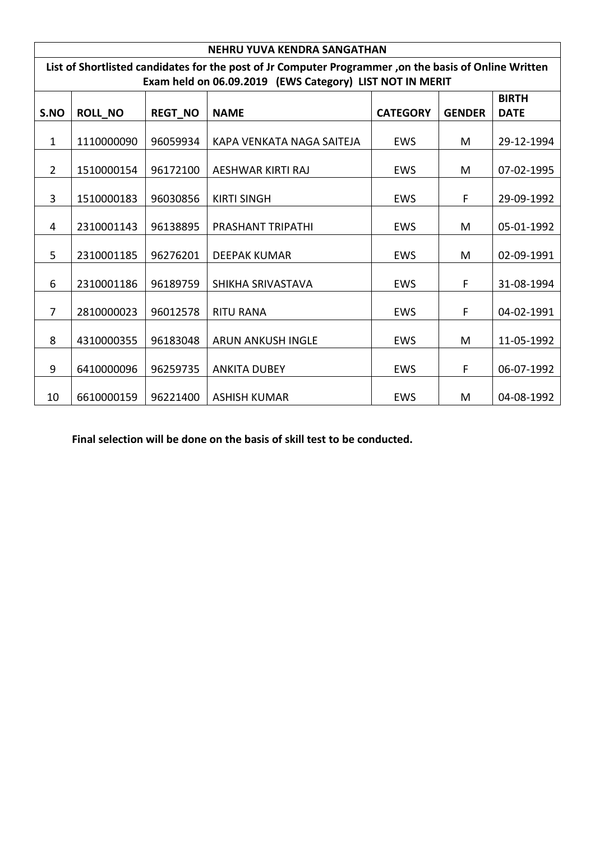|                                                                                                       | NEHRU YUVA KENDRA SANGATHAN                                                                                                                                                    |          |                           |            |   |            |  |  |  |
|-------------------------------------------------------------------------------------------------------|--------------------------------------------------------------------------------------------------------------------------------------------------------------------------------|----------|---------------------------|------------|---|------------|--|--|--|
| List of Shortlisted candidates for the post of Jr Computer Programmer, on the basis of Online Written |                                                                                                                                                                                |          |                           |            |   |            |  |  |  |
| S.NO                                                                                                  | Exam held on 06.09.2019 (EWS Category) LIST NOT IN MERIT<br><b>BIRTH</b><br><b>ROLL_NO</b><br><b>REGT_NO</b><br><b>NAME</b><br><b>CATEGORY</b><br><b>GENDER</b><br><b>DATE</b> |          |                           |            |   |            |  |  |  |
| $\mathbf{1}$                                                                                          | 1110000090                                                                                                                                                                     | 96059934 | KAPA VENKATA NAGA SAITEJA | <b>EWS</b> | M | 29-12-1994 |  |  |  |
| $\overline{2}$                                                                                        | 1510000154                                                                                                                                                                     | 96172100 | AESHWAR KIRTI RAJ         | <b>EWS</b> | M | 07-02-1995 |  |  |  |
| 3                                                                                                     | 1510000183                                                                                                                                                                     | 96030856 | <b>KIRTI SINGH</b>        | <b>EWS</b> | F | 29-09-1992 |  |  |  |
| 4                                                                                                     | 2310001143                                                                                                                                                                     | 96138895 | <b>PRASHANT TRIPATHI</b>  | <b>EWS</b> | M | 05-01-1992 |  |  |  |
| 5                                                                                                     | 2310001185                                                                                                                                                                     | 96276201 | <b>DEEPAK KUMAR</b>       | <b>EWS</b> | M | 02-09-1991 |  |  |  |
| 6                                                                                                     | 2310001186                                                                                                                                                                     | 96189759 | SHIKHA SRIVASTAVA         | <b>EWS</b> | F | 31-08-1994 |  |  |  |
| 7                                                                                                     | 2810000023                                                                                                                                                                     | 96012578 | <b>RITU RANA</b>          | <b>EWS</b> | F | 04-02-1991 |  |  |  |
| 8                                                                                                     | 4310000355                                                                                                                                                                     | 96183048 | <b>ARUN ANKUSH INGLE</b>  | EWS        | M | 11-05-1992 |  |  |  |
| 9                                                                                                     | 6410000096                                                                                                                                                                     | 96259735 | <b>ANKITA DUBEY</b>       | <b>EWS</b> | F | 06-07-1992 |  |  |  |
| 10                                                                                                    | 6610000159                                                                                                                                                                     | 96221400 | <b>ASHISH KUMAR</b>       | <b>EWS</b> | M | 04-08-1992 |  |  |  |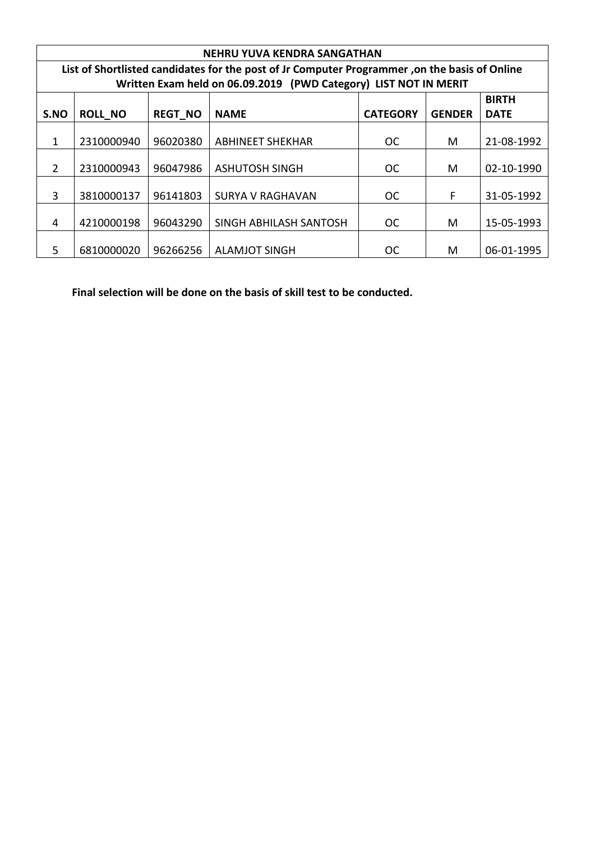|      | <b>NEHRU YUVA KENDRA SANGATHAN</b>                                                            |                |                                                                  |                 |               |             |  |  |
|------|-----------------------------------------------------------------------------------------------|----------------|------------------------------------------------------------------|-----------------|---------------|-------------|--|--|
|      | List of Shortlisted candidates for the post of Jr Computer Programmer, on the basis of Online |                |                                                                  |                 |               |             |  |  |
|      |                                                                                               |                | Written Exam held on 06.09.2019 (PWD Category) LIST NOT IN MERIT |                 |               |             |  |  |
|      | <b>BIRTH</b>                                                                                  |                |                                                                  |                 |               |             |  |  |
| S.NO | <b>ROLL NO</b>                                                                                | <b>REGT NO</b> | <b>NAME</b>                                                      | <b>CATEGORY</b> | <b>GENDER</b> | <b>DATE</b> |  |  |
|      |                                                                                               |                |                                                                  |                 |               |             |  |  |
| 1    | 2310000940                                                                                    | 96020380       | <b>ABHINEET SHEKHAR</b>                                          | <b>OC</b>       | М             | 21-08-1992  |  |  |
|      |                                                                                               |                |                                                                  |                 |               |             |  |  |
| 2    | 2310000943                                                                                    | 96047986       | <b>ASHUTOSH SINGH</b>                                            | <b>OC</b>       | M             | 02-10-1990  |  |  |
|      |                                                                                               |                |                                                                  |                 |               |             |  |  |
| 3    | 3810000137                                                                                    | 96141803       | <b>SURYA V RAGHAVAN</b>                                          | OC.             | F             | 31-05-1992  |  |  |
|      |                                                                                               |                |                                                                  |                 |               |             |  |  |
| 4    | 4210000198                                                                                    | 96043290       | SINGH ABHILASH SANTOSH                                           | <b>OC</b>       | M             | 15-05-1993  |  |  |
|      |                                                                                               |                |                                                                  |                 |               |             |  |  |
| .5   | 6810000020                                                                                    | 96266256       | <b>ALAMJOT SINGH</b>                                             | <b>OC</b>       | М             | 06-01-1995  |  |  |